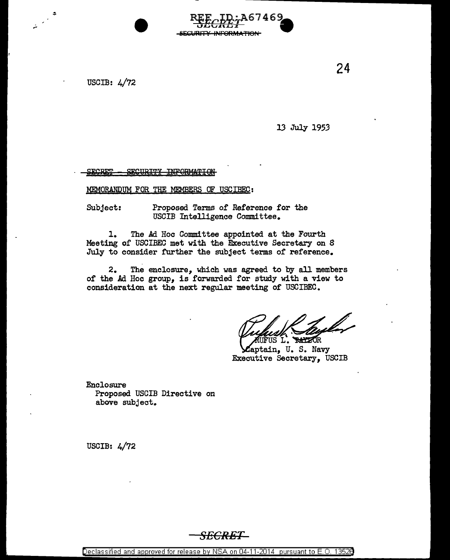USCIB: 4/72

...

13 July 1953

**INFORMATION SECRET** <u> CPONDITV</u>

MEMORANDUM FOR THE MEMBERS OF USCIBEC:

Subject: Proposed Terms of Reference for the USCIB Intelligence Committee.

1. The Ad Hoc Committee appointed at the Fourth Meeting of USCIBEC met with the Executive Secretary on 8 July to consider further the subject terms of reference.

**INLIAN** 

2. The enclosure, which was agreed to by all members of the Ad Hoc group, is forwarded for study with a view to consideration at the next regular meeting of USCIBEC.

**RATZOR** US L. aptain, U. S. Navy Executive Secretary, USCIB

Enclosure Proposed USCIB Directive on above subject.

USCIB: 4/72

24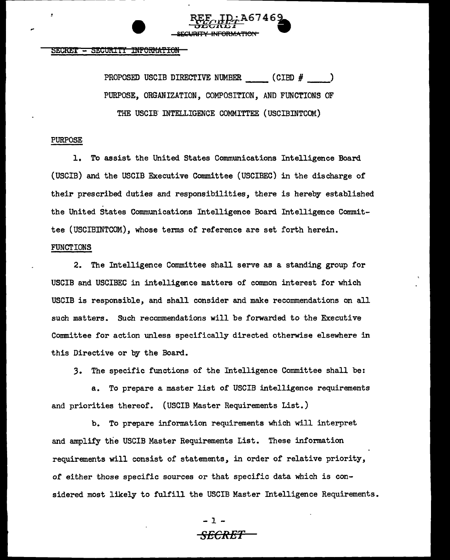

# SECRET - SECURITY INFORMATION

PROPOSED USCIB DIRECTIVE NUMBER  $(CIBD \# )$ PURPOSE, ORGANIZATION, COMPOSITION, AND FUNCTIONS OF THE USCIB INTELLIGENCE COMMITTEE (USCIBINTCOM)

# PURPOSE

1. To assist the United States Communications Intelligence Board (USCIB) and the USCIB Executive Committee (USCIBEC) in the discharge of their prescribed duties and responsibilities, there is hereby established the United States Communications Intelligence Board Intelligence Committee (USCIBINTCOM), whose terms of reference are set forth herein. FUNCTIONS

2. The Intelligence Committee shall serve as a standing group for USCIB and USCIBEC in intelligence matters of common interest for which USCIB is responsible, and shall consider and make recommendations on all such matters. Such recommendations will be forwarded to the Executive Committee for action unless specifically directed otherwise elsewhere in this Directive or by the Board.

*3.* The specific functions of the Intelligence Committee shall be:

a. To prepare a master list of USCIB intelligence requirements and priorities thereof. (USCIB Master Requirements List.)

b. To prepare information requirements which will interpret and amplify the USCIB Master Requirements List. These information requirements will consist of statements, in order of relative priority, of either those specific sources or that specific data which is considered most likely to fulfill the USCIB Master Intelligence Requirements.

> - 1 - SECRET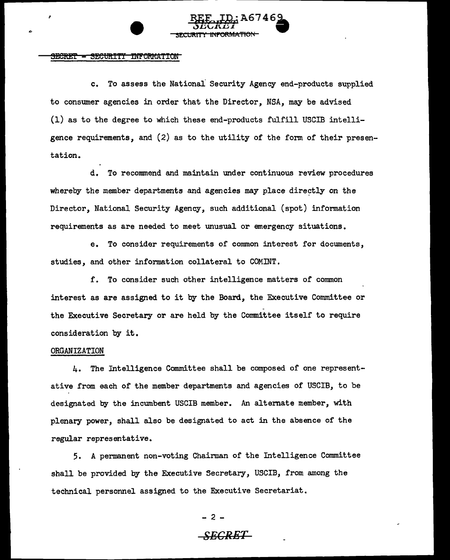

#### <u>- SECURITY INFORMATION </u> <del>SECRET</del>

c. To assess the National Security Agency end-products supplied to consumer agencies in order that the Director, NSA, may be advised (1) as to the degree to which these end-products fulfill USCIB intelligence requirements, and (2) as to the utility of the form of their presentation.

d. To recommend and maintain under continuous review procedures whereby the member departments and agencies may place directly on the Director, National Security Agency, such additional (spot) information requirements as are needed to meet unusual or emergency situations.

e. To consider requirements of common interest for documents, studies, and other information collateral to COMINT.

f. To consider such other intelligence matters of common interest as are assigned to it by the Board, the Executive Committee or the Executive Secretary or are held by the Committee itself to require consideration by it.

### ORGANIZATION

4. The Intelligence Committee shall be composed of one representative from each of the member departments and agencies of USCIB, to be designated by the incumbent USCIB member. An alternate member, with plenary power, shall also be designated to act in the absence of the regular representative.

5. A permanent non-voting Chairman of the Intelligence Committee shall be provided by the Executive Secretary, USCIB, from among the technical personnel assigned to the Executive Secretariat.

> $- 2 -$ *SECRET*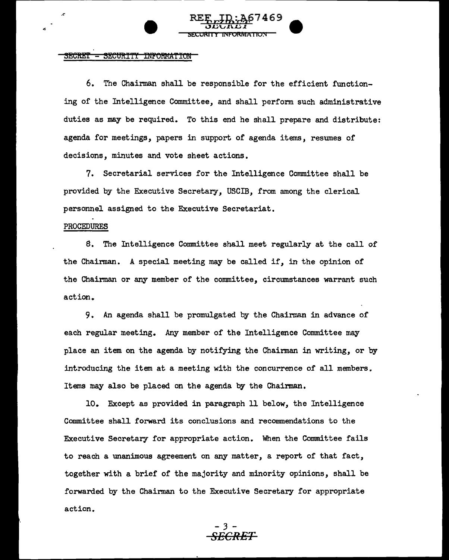#### **SECRET** SECURITY INFORMATION

6. The Chairman shall be responsible for the efficient functioning of the Intelligence Committee, and shall perform such administrative duties as may be required. To this end he shall prepare and distribute: agenda for meetings, papers in support of agenda items, resumes of decisions, minutes and vote sheet actions.

**SECURITY INFORMATION** 

7. Secretarial services for the Intelligence Committee shall be provided by the Executive Secretary, USCIB, from among the clerical personnel assigned to the Executive Secretariat.

### PROCEDURES

*.e* 

8. The Intelligence Committee shall meet regularly at the call of the Chairman. A special meeting may be called if, in the opinion of the Chairman or any member of the committee, circumstances warrant such action.

9. An agenda shall be promulgated by the Chairman in advance of each regular meeting. Any member of the Intelligence Committee may place an item on the agenda by notifying the Chainnan in writing, or by introducing the item at a meeting with the concurrence of all members. Items may also be placed on the agenda by the Chairman.

10. Except as provided in paragraph 11 below, the Intelligence Committee shall forward its conclusions and recommendations to the Executive Secretary for appropriate action. When the Committee fails to reach a unanimous agreement on any matter, a report of that fact, together with a brief of the majority and minority opinions, shall be forwarded by the Chairman to the Executive Secretary for appropriate action.